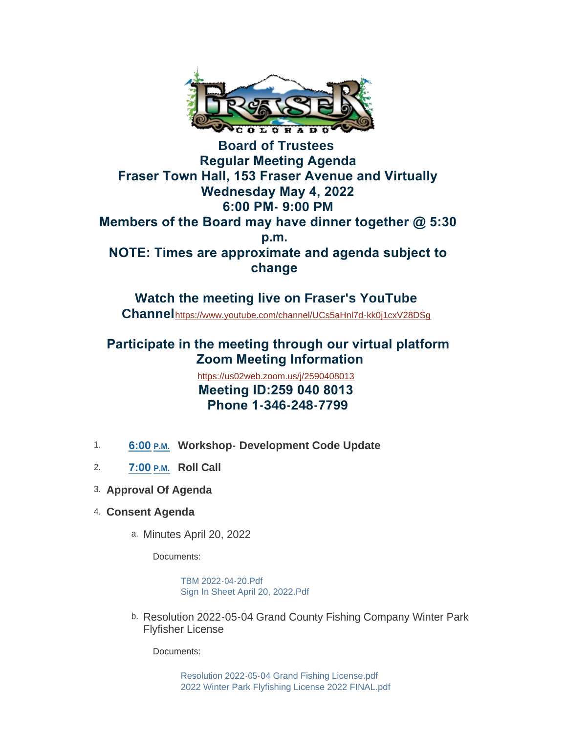

**Board of Trustees Regular Meeting Agenda Fraser Town Hall, 153 Fraser Avenue and Virtually Wednesday May 4, 2022 6:00 PM- 9:00 PM Members of the Board may have dinner together @ 5:30 p.m. NOTE: Times are approximate and agenda subject to change** 

**Watch the meeting live on Fraser's YouTube Channel**<https://www.youtube.com/channel/UCs5aHnl7d-kk0j1cxV28DSg>

# **Participate in the meeting through our virtual platform Zoom Meeting Information**

<https://us02web.zoom.us/j/2590408013>  **Meeting ID:259 040 8013 Phone 1-346-248-7799**

- 1. 6:00 **P.M.** Workshop-Development Code Update
- **Roll Call** 2. **7:00 P.M.**
- **Approval Of Agenda** 3.
- **Consent Agenda** 4.
	- a. Minutes April 20, 2022

Documents:

[TBM 2022-04-20.Pdf](https://www.frasercolorado.com/AgendaCenter/ViewFile/Item/4108?fileID=3663) [Sign In Sheet April 20, 2022.Pdf](https://www.frasercolorado.com/AgendaCenter/ViewFile/Item/4108?fileID=3642)

b. Resolution 2022-05-04 Grand County Fishing Company Winter Park Flyfisher License

Documents:

[Resolution 2022-05-04 Grand Fishing License.pdf](https://www.frasercolorado.com/AgendaCenter/ViewFile/Item/4113?fileID=3659) [2022 Winter Park Flyfishing License 2022 FINAL.pdf](https://www.frasercolorado.com/AgendaCenter/ViewFile/Item/4113?fileID=3658)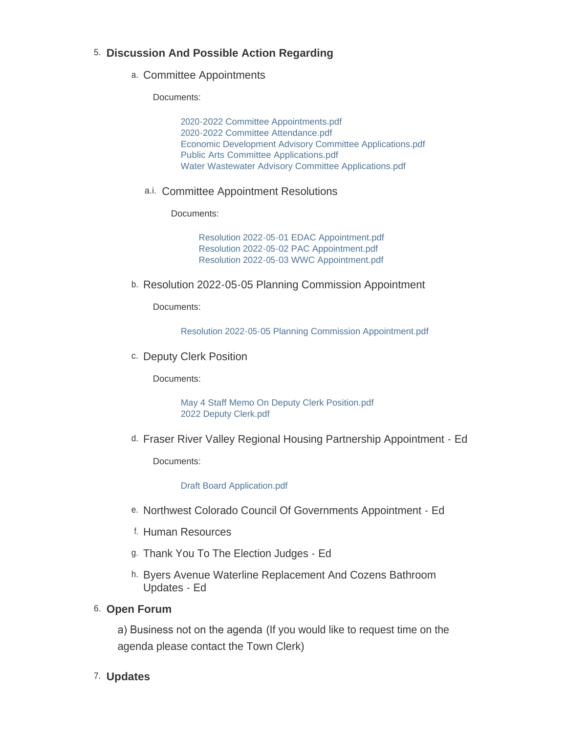#### **Discussion And Possible Action Regarding** 5.

a. Committee Appointments

Documents:

[2020-2022 Committee Appointments.pdf](https://www.frasercolorado.com/AgendaCenter/ViewFile/Item/4106?fileID=3662) [2020-2022 Committee Attendance.pdf](https://www.frasercolorado.com/AgendaCenter/ViewFile/Item/4106?fileID=3648) [Economic Development Advisory Committee Applications.pdf](https://www.frasercolorado.com/AgendaCenter/ViewFile/Item/4106?fileID=3653) [Public Arts Committee Applications.pdf](https://www.frasercolorado.com/AgendaCenter/ViewFile/Item/4106?fileID=3654) [Water Wastewater Advisory Committee Applications.pdf](https://www.frasercolorado.com/AgendaCenter/ViewFile/Item/4106?fileID=3664)

a.i. Committee Appointment Resolutions

Documents:

[Resolution 2022-05-01 EDAC Appointment.pdf](https://www.frasercolorado.com/AgendaCenter/ViewFile/Item/4107?fileID=3649) [Resolution 2022-05-02 PAC Appointment.pdf](https://www.frasercolorado.com/AgendaCenter/ViewFile/Item/4107?fileID=3650) [Resolution 2022-05-03 WWC Appointment.pdf](https://www.frasercolorado.com/AgendaCenter/ViewFile/Item/4107?fileID=3651)

b. Resolution 2022-05-05 Planning Commission Appointment

Documents:

[Resolution 2022-05-05 Planning Commission Appointment.pdf](https://www.frasercolorado.com/AgendaCenter/ViewFile/Item/4114?fileID=3665)

c. Deputy Clerk Position

Documents:

[May 4 Staff Memo On Deputy Clerk Position.pdf](https://www.frasercolorado.com/AgendaCenter/ViewFile/Item/4111?fileID=3656) [2022 Deputy Clerk.pdf](https://www.frasercolorado.com/AgendaCenter/ViewFile/Item/4111?fileID=3657)

d. Fraser River Valley Regional Housing Partnership Appointment - Ed

Documents:

[Draft Board Application.pdf](https://www.frasercolorado.com/AgendaCenter/ViewFile/Item/4105?fileID=3660)

- e. Northwest Colorado Council Of Governments Appointment Ed
- f. Human Resources
- g. Thank You To The Election Judges Ed
- h. Byers Avenue Waterline Replacement And Cozens Bathroom Updates - Ed

#### 6. Open Forum

a) Business not on the agenda (If you would like to request time on the agenda please contact the Town Clerk)

#### **Updates** 7.